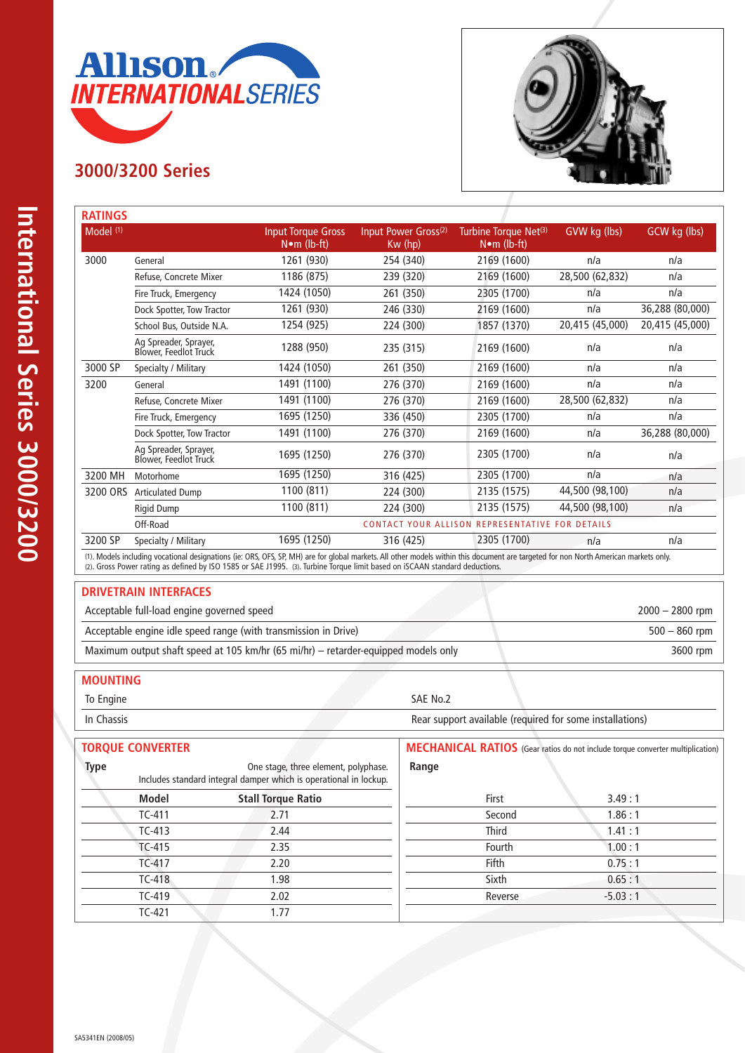

# **3000/3200 Series**



| <b>RATINGS</b>       |                                                                                                                                                                                      |                                                  |                                             |                                                          |                 |                 |
|----------------------|--------------------------------------------------------------------------------------------------------------------------------------------------------------------------------------|--------------------------------------------------|---------------------------------------------|----------------------------------------------------------|-----------------|-----------------|
| Model <sup>(1)</sup> |                                                                                                                                                                                      | <b>Input Torque Gross</b><br>$N \cdot m$ (lb-ft) | Input Power Gross <sup>(2)</sup><br>Kw (hp) | Turbine Torque Net <sup>(3)</sup><br>$N \cdot m$ (lb-ft) | GVW kg (lbs)    | GCW kg (lbs)    |
| 3000                 | General                                                                                                                                                                              | 1261 (930)                                       | 254 (340)                                   | 2169 (1600)                                              | n/a             | n/a             |
|                      | Refuse, Concrete Mixer                                                                                                                                                               | 1186 (875)                                       | 239 (320)                                   | 2169 (1600)                                              | 28,500 (62,832) | n/a             |
|                      | Fire Truck, Emergency                                                                                                                                                                | 1424 (1050)                                      | 261 (350)                                   | 2305 (1700)                                              | n/a             | n/a             |
|                      | Dock Spotter, Tow Tractor                                                                                                                                                            | 1261 (930)                                       | 246 (330)                                   | 2169 (1600)                                              | n/a             | 36,288 (80,000) |
|                      | School Bus, Outside N.A.                                                                                                                                                             | 1254 (925)                                       | 224 (300)                                   | 1857 (1370)                                              | 20,415 (45,000) | 20,415 (45,000) |
|                      | Ag Spreader, Sprayer,<br>Blower, Feedlot Truck                                                                                                                                       | 1288 (950)                                       | 235 (315)                                   | 2169 (1600)                                              | n/a             | n/a             |
| 3000 SP              | Specialty / Military                                                                                                                                                                 | 1424 (1050)                                      | 261 (350)                                   | 2169 (1600)                                              | n/a             | n/a             |
| 3200                 | General                                                                                                                                                                              | 1491 (1100)                                      | 276 (370)                                   | 2169 (1600)                                              | n/a             | n/a             |
|                      | Refuse, Concrete Mixer                                                                                                                                                               | 1491 (1100)                                      | 276 (370)                                   | 2169 (1600)                                              | 28,500 (62,832) | n/a             |
|                      | Fire Truck, Emergency                                                                                                                                                                | 1695 (1250)                                      | 336 (450)                                   | 2305 (1700)                                              | n/a             | n/a             |
|                      | Dock Spotter, Tow Tractor                                                                                                                                                            | 1491 (1100)                                      | 276 (370)                                   | 2169 (1600)                                              | n/a             | 36,288 (80,000) |
|                      | Ag Spreader, Sprayer,<br>Blower, Feedlot Truck                                                                                                                                       | 1695 (1250)                                      | 276 (370)                                   | 2305 (1700)                                              | n/a             | n/a             |
| 3200 MH              | Motorhome                                                                                                                                                                            | 1695 (1250)                                      | 316 (425)                                   | 2305 (1700)                                              | n/a             | n/a             |
| 3200 ORS             | <b>Articulated Dump</b>                                                                                                                                                              | 1100 (811)                                       | 224 (300)                                   | 2135 (1575)                                              | 44,500 (98,100) | n/a             |
|                      | Rigid Dump                                                                                                                                                                           | 1100 (811)                                       | 224 (300)                                   | 2135 (1575)                                              | 44,500 (98,100) | n/a             |
|                      | Off-Road                                                                                                                                                                             |                                                  |                                             | CONTACT YOUR ALLISON REPRESENTATIVE FOR DETAILS          |                 |                 |
| 3200 SP              | Specialty / Military                                                                                                                                                                 | 1695 (1250)                                      | 316 (425)                                   | 2305 (1700)                                              | n/a             | n/a             |
|                      | (1). Models including vocational designations (ie: ORS, OFS, SP, MH) are for global markets. All other models within this document are targeted for non North American markets only. |                                                  |                                             |                                                          |                 |                 |

(2). Gross Power rating as defined by ISO 1585 or SAE J1995. (3). Turbine Torque limit based on iSCAAN standard deductions.

#### **DRIVETRAIN INTERFACES**

| Acceptable full-load engine governed speed                                         | $2000 - 2800$ rpm |
|------------------------------------------------------------------------------------|-------------------|
| Acceptable engine idle speed range (with transmission in Drive)                    | $500 - 860$ rpm   |
| Maximum output shaft speed at 105 km/hr (65 mi/hr) - retarder-equipped models only | 3600 rpm          |

## **MOUNTING**

To Engine SAE No.2

In Chassis Rear support available (required for some installations)

| <b>TORQUE CONVERTER</b>                                                                                                  |                           | <b>MECHANICAL RATIOS</b> (Gear ratios do not include torque converter multiplication) |           |  |
|--------------------------------------------------------------------------------------------------------------------------|---------------------------|---------------------------------------------------------------------------------------|-----------|--|
| <b>Type</b><br>One stage, three element, polyphase.<br>Includes standard integral damper which is operational in lockup. |                           | Range                                                                                 |           |  |
| Model                                                                                                                    | <b>Stall Torque Ratio</b> | First                                                                                 | 3.49:1    |  |
| $TC-411$                                                                                                                 | 2.71                      | Second                                                                                | 1.86:1    |  |
| $TC-413$                                                                                                                 | 2.44                      | <b>Third</b>                                                                          | 1.41:1    |  |
| $TC-415$                                                                                                                 | 2.35                      | Fourth                                                                                | 1.00:1    |  |
| TC-417                                                                                                                   | 2.20                      | Fifth                                                                                 | 0.75:1    |  |
| $TC-418$                                                                                                                 | 1.98                      | Sixth                                                                                 | 0.65:1    |  |
| $TC-419$                                                                                                                 | 2.02                      | Reverse                                                                               | $-5.03:1$ |  |
| $TC-421$                                                                                                                 | .77                       |                                                                                       |           |  |